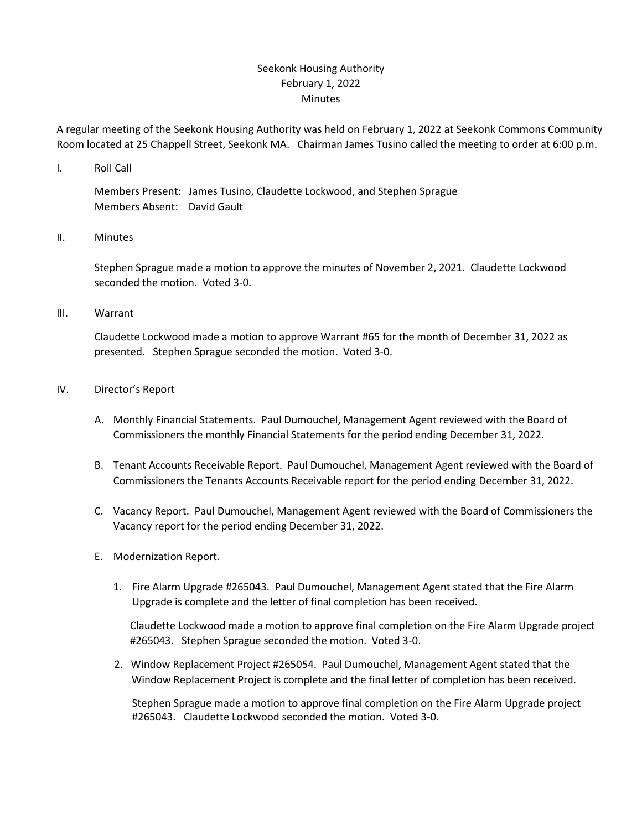## Seekonk Housing Authority February 1, 2022 Minutes

A regular meeting of the Seekonk Housing Authority was held on February 1, 2022 at Seekonk Commons Community Room located at 25 Chappell Street, Seekonk MA. Chairman James Tusino called the meeting to order at 6:00 p.m.

I. Roll Call

Members Present: James Tusino, Claudette Lockwood, and Stephen Sprague Members Absent: David Gault

II. Minutes

Stephen Sprague made a motion to approve the minutes of November 2, 2021. Claudette Lockwood seconded the motion. Voted 3-0.

III. Warrant

Claudette Lockwood made a motion to approve Warrant #65 for the month of December 31, 2022 as presented. Stephen Sprague seconded the motion. Voted 3-0.

- IV. Director's Report
	- A. Monthly Financial Statements. Paul Dumouchel, Management Agent reviewed with the Board of Commissioners the monthly Financial Statements for the period ending December 31, 2022.
	- B. Tenant Accounts Receivable Report. Paul Dumouchel, Management Agent reviewed with the Board of Commissioners the Tenants Accounts Receivable report for the period ending December 31, 2022.
	- C. Vacancy Report. Paul Dumouchel, Management Agent reviewed with the Board of Commissioners the Vacancy report for the period ending December 31, 2022.
	- E. Modernization Report.
		- 1. Fire Alarm Upgrade #265043. Paul Dumouchel, Management Agent stated that the Fire Alarm Upgrade is complete and the letter of final completion has been received.

 Claudette Lockwood made a motion to approve final completion on the Fire Alarm Upgrade project #265043. Stephen Sprague seconded the motion. Voted 3-0.

 2. Window Replacement Project #265054. Paul Dumouchel, Management Agent stated that the Window Replacement Project is complete and the final letter of completion has been received.

 Stephen Sprague made a motion to approve final completion on the Fire Alarm Upgrade project #265043. Claudette Lockwood seconded the motion. Voted 3-0.